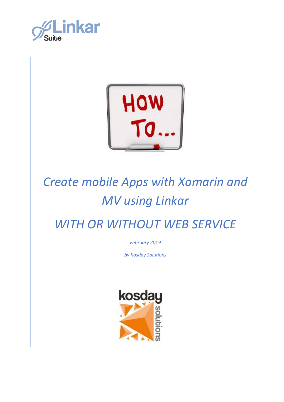



*February 2019*

*by Kosday Solutions*

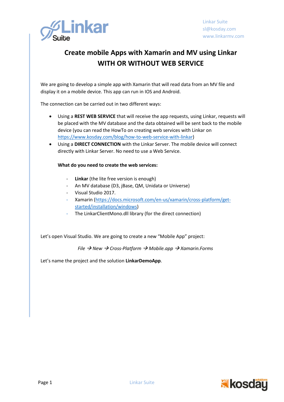

We are going to develop a simple app with Xamarin that will read data from an MV file and display it on a mobile device. This app can run in IOS and Android.

The connection can be carried out in two different ways:

- Using a **REST WEB SERVICE** that will receive the app requests, using Linkar, requests will be placed with the MV database and the data obtained will be sent back to the mobile device (you can read the HowTo on creating web services with Linkar on [https://www.kosday.com/blog/how-to-web-service-with-linkar\)](https://www.kosday.com/blog/how-to-web-service-with-linkar)
- Using a **DIRECT CONNECTION** with the Linkar Server. The mobile device will connect directly with Linkar Server. No need to use a Web Service.

#### **What do you need to create the web services:**

- **Linkar** (the lite free version is enough)
- An MV database (D3, jBase, QM, Unidata or Universe)
- Visual Studio 2017.
- Xamarin [\(https://docs.microsoft.com/en-us/xamarin/cross-platform/get](https://docs.microsoft.com/en-us/xamarin/cross-platform/get-started/installation/windows)[started/installation/windows\)](https://docs.microsoft.com/en-us/xamarin/cross-platform/get-started/installation/windows)
- The LinkarClientMono.dll library (for the direct connection)

Let's open Visual Studio. We are going to create a new "Mobile App" project:

*File* → *New* → *Cross-Platform* → *Mobile.app* → *Xamarin.Forms*

Let's name the project and the solution **LinkarDemoApp**.

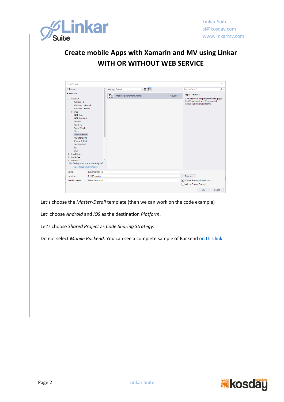

| <b>New Project</b>                    |                |   |                            |           | $\overline{\phantom{a}}$<br>X             |
|---------------------------------------|----------------|---|----------------------------|-----------|-------------------------------------------|
| <b>D</b> Recent                       |                |   | 回訳目<br>Sort by: Default    |           | - م<br>Search (Ctrl+E)                    |
| ▲ Installed                           |                | 譴 | Mobile App (Xamarin.Forms) | Visual C# | Type: Visual C#                           |
| $\blacktriangle$ Visual C#            |                |   |                            |           | A multiproject template for building apps |
| <b>Get Started</b>                    |                |   |                            |           | for iOS, Android, and Windows with        |
| <b>Windows Universal</b>              |                |   |                            |           | Xamarin and Xamarin.Forms.                |
| <b>Windows Desktop</b>                |                |   |                            |           |                                           |
| D Web                                 |                |   |                            |           |                                           |
| .NET Core                             |                |   |                            |           |                                           |
| .NET Standard                         |                |   |                            |           |                                           |
| Android                               |                |   |                            |           |                                           |
| Apple TV                              |                |   |                            |           |                                           |
| Apple Watch                           |                |   |                            |           |                                           |
| Cloud                                 |                |   |                            |           |                                           |
| Cross-Platform                        |                |   |                            |           |                                           |
| <b>iOS</b> Extensions                 |                |   |                            |           |                                           |
| iPhone & iPad                         |                |   |                            |           |                                           |
| Net Standard                          |                |   |                            |           |                                           |
| Test                                  |                |   |                            |           |                                           |
| <b>WCF</b>                            |                |   |                            |           |                                           |
| <b>D</b> Visual Basic                 |                |   |                            |           |                                           |
| $\triangleright$ Visual C++           |                |   |                            |           |                                           |
| N. Microal F#                         |                |   |                            |           |                                           |
| Not finding what you are looking for? |                |   |                            |           |                                           |
| Open Visual Studio Installer          |                |   |                            |           |                                           |
| Name:                                 | LinkarDemoApp  |   |                            |           |                                           |
| Location:                             | F:\VSProjects\ |   |                            | ٠         | Browse                                    |
| Solution name:                        | LinkarDemoApp  |   |                            |           | Create directory for solution<br>∣✔       |
|                                       |                |   |                            |           | <b>Add to Source Control</b>              |
|                                       |                |   |                            |           | OK<br>Cancel                              |

Let's choose the *Master-Detail* template (then we can work on the code example)

Let' choose *Android* and *iOS* as the destination *Platform*.

Let's choose *Shared Project* as *Code Sharing Strategy*.

Do not select *Mobile Backend*. You can see a complete sample of Backen[d on this link.](https://www.kosday.com/blog/how-to-web-service-with-linkar/)

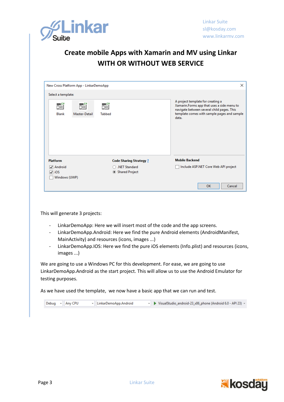

| New Cross Platform App - LinkarDemoApp                   |                                 | $\times$                                                                                                                                                                              |
|----------------------------------------------------------|---------------------------------|---------------------------------------------------------------------------------------------------------------------------------------------------------------------------------------|
| Select a template:                                       |                                 |                                                                                                                                                                                       |
| $-C#$<br>$ -$<br>函<br>丽<br><b>Blank</b><br>Master-Detail | $ C^{\#}$<br>函<br><b>Tabbed</b> | A project template for creating a<br>Xamarin.Forms app that uses a side menu to<br>navigate between several child pages. This<br>template comes with sample pages and sample<br>data. |
| <b>Platform</b>                                          | <b>Code Sharing Strategy ?</b>  | <b>Mobile Backend</b>                                                                                                                                                                 |
| $\sqrt{ }$ Android                                       | .NET Standard                   | Include ASP.NET Core Web API project                                                                                                                                                  |
| $\sqrt{ }$ iOS                                           | Shared Project                  |                                                                                                                                                                                       |
| Windows (UWP)                                            |                                 |                                                                                                                                                                                       |
|                                                          |                                 | OK<br>Cancel                                                                                                                                                                          |

This will generate 3 projects:

- LinkarDemoApp: Here we will insert most of the code and the app screens.
- LinkarDemoApp.Android: Here we find the pure Android elements (AndroidManifest, MainActivity) and resources (icons, images ...)
- LinkarDemoApp.IOS: Here we find the pure iOS elements (Info.plist) and resources (icons, images ...)

We are going to use a Windows PC for this development. For ease, we are going to use LinkarDemoApp.Android as the start project. This will allow us to use the Android Emulator for testing purposes.

As we have used the template, we now have a basic app that we can run and test.

|  | Debug - Any CPU | - LinkarDemoApp.Android |  | ► ▶ VisualStudio_android-23_x86_phone (Android 6.0 - API 23) ▼ |
|--|-----------------|-------------------------|--|----------------------------------------------------------------|
|  |                 |                         |  |                                                                |

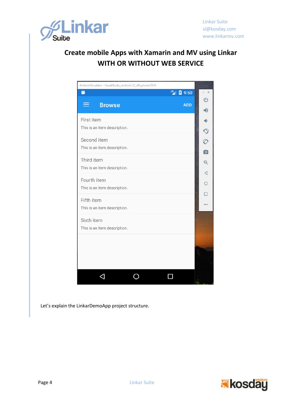

| Android Emulator - VisualStudio_android-23_x86_phone:5554 |   |            |                      |
|-----------------------------------------------------------|---|------------|----------------------|
| ŏ                                                         | 哩 | 图 9:50     |                      |
| <b>Browse</b><br>≡                                        |   | <b>ADD</b> | $\cup$               |
|                                                           |   |            | 40                   |
| First item                                                |   |            | ф.                   |
| This is an item description.                              |   |            | ♦                    |
| Second item                                               |   |            | Ô                    |
| This is an item description.                              |   |            | $\overline{\bullet}$ |
| Third item                                                |   |            | $\Theta$             |
| This is an item description.                              |   |            |                      |
| Fourth item                                               |   |            | ◁                    |
| This is an item description.                              |   |            | $\bigcirc$           |
| Fifth item                                                |   |            |                      |
| This is an item description.                              |   |            |                      |
|                                                           |   |            |                      |
| Sixth item<br>This is an item description.                |   |            |                      |
|                                                           |   |            |                      |
|                                                           |   |            |                      |
|                                                           |   |            |                      |
|                                                           |   |            |                      |
|                                                           |   |            |                      |
|                                                           |   |            |                      |

Let's explain the LinkarDemoApp project structure.

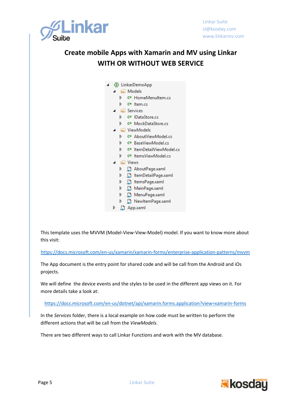

| ◈ LinkarDemoApp |   |         |                                       |  |  |  |
|-----------------|---|---------|---------------------------------------|--|--|--|
|                 |   |         | $\Box$ Models                         |  |  |  |
|                 | d |         | C <sup>#</sup> HomeMenultem.cs        |  |  |  |
|                 | d |         | C <sup>#</sup> Item.cs                |  |  |  |
|                 |   |         | Services                              |  |  |  |
|                 | d |         | C <sup>#</sup> IDataStore.cs          |  |  |  |
|                 | d |         | C <sup>#</sup> MockDataStore.cs       |  |  |  |
|                 |   |         | ViewModels                            |  |  |  |
|                 | d |         | C <sup>#</sup> AboutViewModel.cs      |  |  |  |
|                 | ⊳ |         | C <sup>#</sup> BaseViewModel.cs       |  |  |  |
|                 | d |         | C <sup>#</sup> ItemDetailViewModel.cs |  |  |  |
|                 | d |         | C <sup>#</sup> ItemsViewModel.cs      |  |  |  |
|                 |   | ⊑ Views |                                       |  |  |  |
|                 | d |         | AboutPage.xaml                        |  |  |  |
|                 | d |         | ltemDetailPage.xaml                   |  |  |  |
|                 | d |         | httemsPage.xaml                       |  |  |  |
|                 | d |         | MainPage.xaml                         |  |  |  |
|                 | d |         | MenuPage.xaml                         |  |  |  |
|                 | d | Æ.      | NewltemPage.xaml                      |  |  |  |
| d               |   |         | App.xaml                              |  |  |  |

This template uses the MVVM (Model-View-View-Model) model. If you want to know more about this visit:

<https://docs.microsoft.com/en-us/xamarin/xamarin-forms/enterprise-application-patterns/mvvm>

The App document is the entry point for shared code and will be call from the Android and iOs projects.

We will define the device events and the styles to be used in the different app views on it. For more details take a look at:

<https://docs.microsoft.com/en-us/dotnet/api/xamarin.forms.application?view=xamarin-forms>

In the *Services* folder, there is a local example on how code must be written to perform the different actions that will be call from the *ViewModels*.

There are two different ways to call Linkar Functions and work with the MV database.

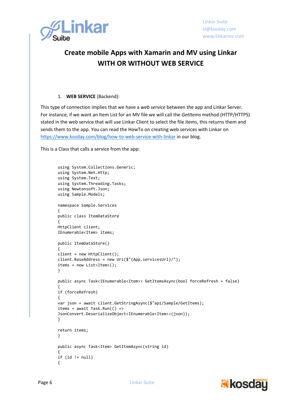

#### 1. **WEB SERVICE** (Backend):

This type of connection implies that we have a *web service* between the app and Linkar Server. For instance, if we want an Item List for an MV file we will call the *GetItems* method (HTTP/HTTPS) stated in the web service that will use Linkar Client to select the file items, this returns them and sends them to the app. You can read the HowTo on creating web services with Linkar on <https://www.kosday.com/blog/how-to-web-service-with-linkar> in our blog.

This is a Class that calls a service from the app:

```
using System.Collections.Generic;
using System.Net.Http;
using System.Text;
using System.Threading.Tasks;
using Newtonsoft.Json;
using Sample.Models;
namespace Sample.Services
{
public class ItemDataStore
{
HttpClient client;
IEnumerable<Item> items;
public ItemDataStore()
{
client = new HttpClient();
client.BaseAddress = new Uri($"{App.servicesUrl}/");
items = new List<Item>();
}
public async Task<IEnumerable<Item>> GetItemsAsync(bool forceRefresh = false)
{
if (forceRefresh)
{
var json = await client.GetStringAsync($"api/Sample/GetItems);
items = await Task.Run() =>
JsonConvert.DeserializeObject<IEnumerable<Item>>(json));
}
return items;
}
public async Task<Item> GetItemAsync(string id)
{
if (id != null){
```
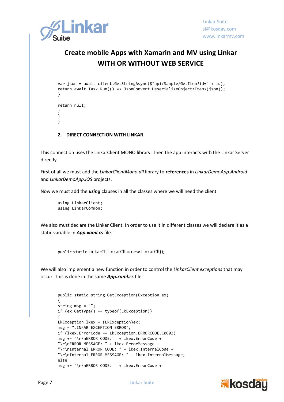

```
var json = await client.GetStringAsync($"api/Sample/GetItem?id=" + id);
return await Task.Run(() => JsonConvert.DeserializeObject<Item>(json));
}
return null;
}
}
}
```
#### **2. DIRECT CONNECTION WITH LINKAR**

This connection uses the LinkarClient MONO library. Then the app interacts with the Linkar Server directly.

First of all we must add the *LinkarClientMono.dll* library to **references** in *LinkarDemoApp.Android* and *LinkarDemoApp.iOS* projects.

Now we must add the *using* clauses in all the classes where we will need the client.

```
using LinkarClient;
using LinkarCommon;
```
We also must declare the Linkar Client. In order to use it in different classes we will declare it as a static variable in *App.xaml.cs* file.

public static LinkarClt linkarClt = new LinkarClt();

We will also implement a new function in order to control the *LinkarClient exceptions* that may occur. This is done in the same *App.xaml.cs* file:

```
public static string GetException(Exception ex)
{
string msg = "";
if (ex.GetType() == typeof(LkException))
{
LkException lkex = (LkException)ex;
msg = "LINKAR EXCEPTION ERROR";
if (lkex.ErrorCode == LkException.ERRORCODE.C0003)
msg += "\r\nERROR CODE: " + lkex.ErrorCode +
"\r\nERROR MESSAGE: " + lkex.ErrorMessage +
"\r\nInternal ERROR CODE: " + lkex.InternalCode +
"\r\nInternal ERROR MESSAGE: " + lkex.InternalMessage;
else
msg += "\r\nERROR CODE: " + lkex.ErrorCode +
```
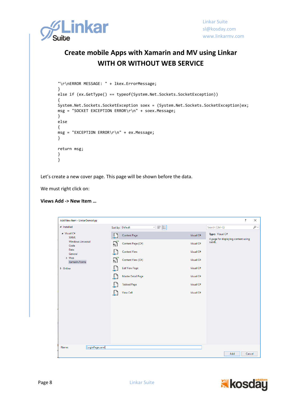

```
"\r\nERROR MESSAGE: " + lkex.ErrorMessage;
}
else if (ex.GetType() == typeof(System.Net.Sockets.SocketException))
{
System.Net.Sockets.SocketException soex = (System.Net.Sockets.SocketException)ex;
msg = "SOCKET EXCEPTION ERROR\r\n" + soex.Message;
}
else
{
msg = "EXCEPTION ERROR\r\n" + ex.Message;
}
return msg;
}
}
```
Let's create a new cover page. This page will be shown before the data.

We must right click on:

#### **Views Add -> New Item …**

| Add New Item - LinkarDemoApp                  |                                     |           | ?                                                      | $\times$ |
|-----------------------------------------------|-------------------------------------|-----------|--------------------------------------------------------|----------|
| ▲ Installed                                   | 国眼国<br>Sort by: Default             |           | Search (Ctrl+E)                                        | - م      |
| $\blacktriangleleft$ Visual C#<br><b>XAML</b> | $\Box$<br><b>Content Page</b>       | Visual C# | Type: Visual C#<br>A page for displaying content using |          |
| <b>Windows Universal</b><br>Code              | $\mathbb{S}^1$<br>Content Page (C#) | Visual C# | XAML.                                                  |          |
| Data<br>General                               | $\Box$<br><b>Content View</b>       | Visual C# |                                                        |          |
| <b>D</b> Web<br>Xamarin.Forms                 | $\mathbb{F}_2$<br>Content View (C#) | Visual C# |                                                        |          |
| D Online                                      | 묘<br><b>List View Page</b>          | Visual C# |                                                        |          |
|                                               | ♫<br>Master Detail Page             | Visual C# |                                                        |          |
|                                               | ♫<br><b>Tabbed Page</b>             | Visual C# |                                                        |          |
|                                               | <b>View Cell</b><br>LJ.             | Visual C# |                                                        |          |
|                                               |                                     |           |                                                        |          |
|                                               |                                     |           |                                                        |          |
|                                               |                                     |           |                                                        |          |
|                                               |                                     |           |                                                        |          |
|                                               |                                     |           |                                                        |          |
| LoginPage.xaml<br>Name:                       |                                     |           |                                                        |          |
|                                               |                                     |           | Add<br>Cancel                                          |          |

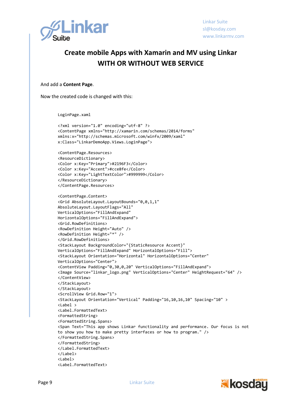

And add a **Content Page**.

Now the created code is changed with this:

LoginPage.xaml

```
<?xml version="1.0" encoding="utf-8" ?>
<ContentPage xmlns="http://xamarin.com/schemas/2014/forms"
xmlns:x="http://schemas.microsoft.com/winfx/2009/xaml"
x:Class="LinkarDemoApp.Views.LoginPage">
<ContentPage.Resources>
<ResourceDictionary>
<Color x:Key="Primary">#2196F3</Color>
<Color x:Key="Accent">#cce8fe</Color>
<Color x:Key="LightTextColor">#999999</Color>
</ResourceDictionary>
</ContentPage.Resources>
<ContentPage.Content>
<Grid AbsoluteLayout.LayoutBounds="0,0,1,1"
AbsoluteLayout.LayoutFlags="All"
VerticalOptions="FillAndExpand"
HorizontalOptions="FillAndExpand">
<Grid.RowDefinitions>
<RowDefinition Height="Auto" />
<RowDefinition Height="*" />
</Grid.RowDefinitions>
<StackLayout BackgroundColor="{StaticResource Accent}" 
VerticalOptions="FillAndExpand" HorizontalOptions="Fill">
<StackLayout Orientation="Horizontal" HorizontalOptions="Center" 
VerticalOptions="Center">
<ContentView Padding="0,30,0,20" VerticalOptions="FillAndExpand">
<Image Source="linkar_logo.png" VerticalOptions="Center" HeightRequest="64" />
</ContentView>
</StackLayout>
</StackLayout>
<ScrollView Grid.Row="1">
<StackLayout Orientation="Vertical" Padding="16,10,16,10" Spacing="10" >
<Label >
<Label.FormattedText>
<FormattedString>
<FormattedString.Spans>
<Span Text="This app shows Linkar functionality and performance. Our focus is not 
to show you how to make pretty interfaces or how to program." />
</FormattedString.Spans>
</FormattedString>
</Label.FormattedText>
</Label>
<Label>
<Label.FormattedText>
```
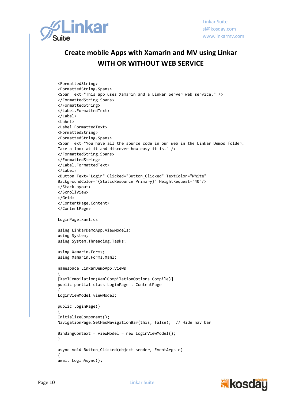

```
<FormattedString>
<FormattedString.Spans>
<Span Text="This app uses Xamarin and a Linkar Server web service." />
</FormattedString.Spans>
</FormattedString>
</Label.FormattedText>
</Label>
<Label>
<Label.FormattedText>
<FormattedString>
<FormattedString.Spans>
<Span Text="You have all the source code in our web in the Linkar Demos folder. 
Take a look at it and discover how easy it is." />
</FormattedString.Spans>
</FormattedString>
</Label.FormattedText>
</Label>
<Button Text="Login" Clicked="Button_Clicked" TextColor="White"
BackgroundColor="{StaticResource Primary}" HeightRequest="40"/>
</StackLayout>
</ScrollView>
</Grid>
</ContentPage.Content>
</ContentPage>
LoginPage.xaml.cs
using LinkarDemoApp.ViewModels;
using System;
using System.Threading.Tasks;
using Xamarin.Forms;
using Xamarin.Forms.Xaml;
namespace LinkarDemoApp.Views
{
[XamlCompilation(XamlCompilationOptions.Compile)]
public partial class LoginPage : ContentPage
{
LoginViewModel viewModel;
public LoginPage()
{
InitializeComponent();
NavigationPage.SetHasNavigationBar(this, false); // Hide nav bar
BindingContext = viewModel = new LoginViewModel();
}
async void Button Clicked(object sender, EventArgs e)
{
await LoginAsync();
```
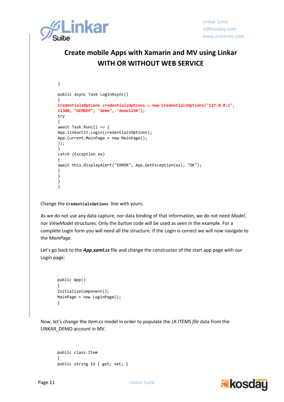

```
}
public async Task LoginAsync()
{
CredentialsOptions credentialsOptions = new CredentialsOptions("127.0.0.1", 
11300, "DEMOEP", "demo", "demo1234");
try
{
await Task.Run(( ) = > {App.linkarClt.Login(credentialsOptions);
App.Current.MainPage = new MainPage();
});
}
catch (Exception ex)
{
await this.DisplayAlert("ERROR", App.GetException(ex), "OK");
}
}
}
}
```
Change the **CredentialsOptions** line with yours.

As we do not use any data capture, nor data binding of that information, we do not need *Model*, nor *ViewModel* structures. Only the *button* code will be used as seen in the example. For a complete Login form you will need all the structure. If the Login is correct we will now navigate to the *MainPage*.

Let's go back to the *App.xaml.cs* file and change the constructor of the start app page with our Login page:

```
public App()
{
InitializeComponent();
MainPage = new LoginPage();
}
```
Now, let's change the *Item.cs* model in order to populate the *LK.ITEMS file* data from the LINKAR\_DEMO account in MV.

```
public class Item
{
public string Id { get; set; }
```
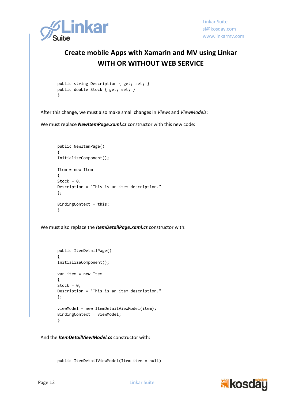

```
public string Description { get; set; }
public double Stock { get; set; }
}
```
After this change, we must also make small changes in *Views* and *ViewModels*:

We must replace *NewItemPage.xaml.cs* constructor with this new code:

```
public NewItemPage()
{
InitializeComponent();
Item = new Item
{
Stock = \theta,
Description = "This is an item description."
};
BindingContext = this;
}
```
We must also replace the *ItemDetailPage.xaml.cs* constructor with:

```
public ItemDetailPage()
{
InitializeComponent();
var item = new Item
{
Stock = \theta.
Description = "This is an item description."
};
viewModel = new ItemDetailViewModel(item);
BindingContext = viewModel;
}
```
And the *ItemDetailViewModel.cs* constructor with:

public ItemDetailViewModel(Item item = null)

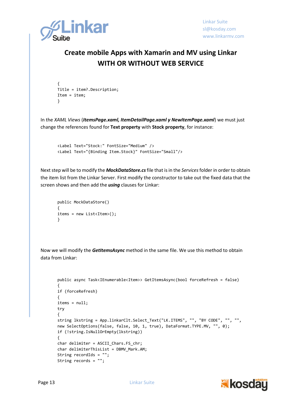

```
{
Title = item?.Description;
Item = item;
}
```
In the *XAML Views* (*ItemsPage.xaml, ItemDetailPage.xaml y NewItemPage.xaml*) we must just change the references found for **Text property** with **Stock property**, for instance:

```
<Label Text="Stock:" FontSize="Medium" />
<Label Text="{Binding Item.Stock}" FontSize="Small"/>
```
Next step will be to modify the *MockDataStore.cs*file that is in the *Services*folder in order to obtain the item list from the Linkar Server. First modify the constructor to take out the fixed data that the screen shows and then add the *using* clauses for Linkar:

```
public MockDataStore()
{
items = new List<Item>();
}
```
Now we will modify the *GetItemsAsync* method in the same file. We use this method to obtain data from Linkar:

```
public async Task<IEnumerable<Item>> GetItemsAsync(bool forceRefresh = false)
{
if (forceRefresh)
{
items = null;
try
{
string lkstring = App.linkarClt.Select_Text("LK.ITEMS", "", "BY CODE", "", "", 
new SelectOptions(false, false, 10, 1, true), DataFormat.TYPE.MV, "", 0);
if (!string.IsNullOrEmpty(lkstring))
{
char delimiter = ASCII Chars.FS chr;
char delimiterThisList = DBMV_Mark.AM;
String recordIds = "";
String records = "";
```
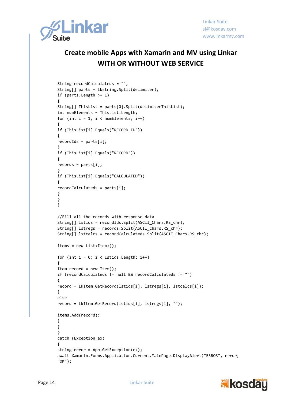

```
String recordCalculateds = "";
String[] parts = lkstring.Split(delimiter);
if (parts.Length >= 1)
{
String[] ThisList = parts[0].Split(delimiterThisList);
int numElements = ThisList.Length;
for (int i = 1; i < numElements; i++){
if (ThisList[i].Equals("RECORD_ID"))
{
recordIds = parts[i];}
if (ThisList[i].Equals("RECORD"))
{
records = parts[i];}
if (ThisList[i].Equals("CALCULATED"))
{
recordCalculateds = parts[i];
}
}
}
//Fill all the records with response data
String[] lstids = recordIds.Split(ASCII Chars.RS chr);
String[] lstregs = records.Split(ASCII Chars.RS chr);
String[] lstcalcs = recordCalculateds.Split(ASCII Chars.RS chr);
items = new List<Item>();
for (int i = 0; i < 1stids.Length; i++){
Item record = new Item();
if (recordCalculateds != null && recordCalculateds != "")
{
record = LkItem.GetRecord(lstids[i], lstregs[i], lstcalcs[i]);
}
else
record = LkItem.GetRecord(lstids[i], lstregs[i], "");
items.Add(record);
}
}
}
catch (Exception ex)
{
string error = App.GetException(ex);
await Xamarin.Forms.Application.Current.MainPage.DisplayAlert("ERROR", error, 
"OK");
```
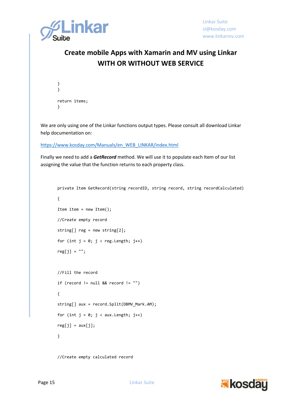

```
}
}
return items;
}
```
We are only using one of the Linkar functions output types. Please consult all download Linkar help documentation on:

[https://www.kosday.com/Manuals/en\\_WEB\\_LINKAR/index.html](https://www.kosday.com/Manuals/en_WEB_LINKAR/index.html)

Finally we need to add a *GetRecord* method. We will use it to populate each Item of our list assigning the value that the function returns to each property class.

```
private Item GetRecord(string recordID, string record, string recordCalculated)
{
Item item = new Item();
//Create empty record
string[] reg = new string[2];for (int j = 0; j < reg. Length; j++)reg[i] = "";//Fill the record
if (record != null && record != "")
{
string[] aux = record.Split(DBMV_Mark.AM);
for (int j = 0; j < aux.length; j++)reg[j] = aux[j];}
```
//Create empty calculated record

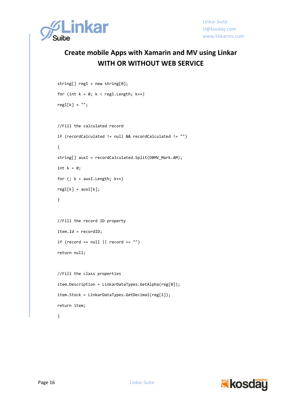

```
string[] regI = new string[0];
for (int k = 0; k < regI. Length; k++)
regI[k] = "";//Fill the calculated record
if (recordCalculated != null && recordCalculated != "")
{
string[] auxI = recordCalculated.Split(DBMV_Mark.AM);
int k = 0;
for (; k < auxI.Length; k++)
regI[k] = auxI[k];}
//Fill the record ID property
item.Id = recordID;
if (record == null || record == "")
return null;
//Fill the class properties
item.Description = LinkarDataTypes.GetAlpha(reg[0]);
item.Stock = LinkarDataTypes.GetDecimal(reg[1]);
return item;
}
```